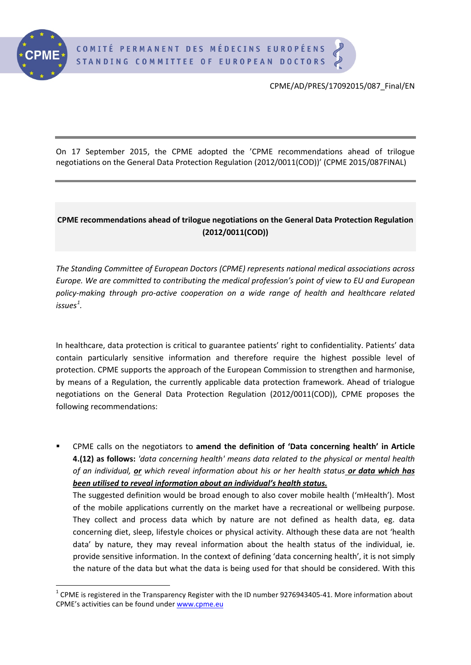

CPME/AD/PRES/17092015/087\_Final/EN

On 17 September 2015, the CPME adopted the 'CPME recommendations ahead of trilogue negotiations on the General Data Protection Regulation (2012/0011(COD))' (CPME 2015/087FINAL)

## **CPME recommendations ahead of trilogue negotiations on the General Data Protection Regulation (2012/0011(COD))**

*The Standing Committee of European Doctors (CPME) represents national medical associations across Europe. We are committed to contributing the medical profession's point of view to EU and European policy-making through pro-active cooperation on a wide range of health and healthcare related issues[1](#page-0-0) .*

In healthcare, data protection is critical to guarantee patients' right to confidentiality. Patients' data contain particularly sensitive information and therefore require the highest possible level of protection. CPME supports the approach of the European Commission to strengthen and harmonise, by means of a Regulation, the currently applicable data protection framework. Ahead of trialogue negotiations on the General Data Protection Regulation (2012/0011(COD)), CPME proposes the following recommendations:

 CPME calls on the negotiators to **amend the definition of 'Data concerning health' in Article 4.(12) as follows:** *'data concerning health' means data related to the physical or mental health of an individual, or which reveal information about his or her health status or data which has been utilised to reveal information about an individual's health status.*  The suggested definition would be broad enough to also cover mobile health ('mHealth'). Most of the mobile applications currently on the market have a recreational or wellbeing purpose. They collect and process data which by nature are not defined as health data, eg. data concerning diet, sleep, lifestyle choices or physical activity. Although these data are not 'health data' by nature, they may reveal information about the health status of the individual, ie. provide sensitive information. In the context of defining 'data concerning health', it is not simply the nature of the data but what the data is being used for that should be considered. With this

<span id="page-0-0"></span> $1$  CPME is registered in the Transparency Register with the ID number 9276943405-41. More information about CPME's activities can be found unde[r www.cpme.eu](http://www.cpme.eu/)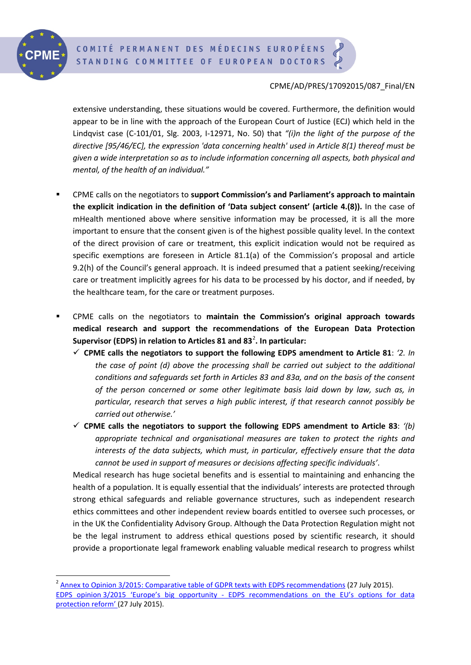

## CPME/AD/PRES/17092015/087\_Final/EN

extensive understanding, these situations would be covered. Furthermore, the definition would appear to be in line with the approach of the European Court of Justice (ECJ) which held in the Lindqvist case (C-101/01, Slg. 2003, I-12971, No. 50) that *"(i)n the light of the purpose of the directive [95/46/EC], the expression 'data concerning health' used in Article 8(1) thereof must be given a wide interpretation so as to include information concerning all aspects, both physical and mental, of the health of an individual."*

- CPME calls on the negotiators to **support Commission's and Parliament's approach to maintain the explicit indication in the definition of 'Data subject consent' (article 4.(8)).** In the case of mHealth mentioned above where sensitive information may be processed, it is all the more important to ensure that the consent given is of the highest possible quality level. In the context of the direct provision of care or treatment, this explicit indication would not be required as specific exemptions are foreseen in Article 81.1(a) of the Commission's proposal and article 9.2(h) of the Council's general approach. It is indeed presumed that a patient seeking/receiving care or treatment implicitly agrees for his data to be processed by his doctor, and if needed, by the healthcare team, for the care or treatment purposes.
- CPME calls on the negotiators to **maintain the Commission's original approach towards medical research and support the recommendations of the European Data Protection**  Supervisor (EDPS) in relation to Articles 81 and 83<sup>[2](#page-1-0)</sup>. In particular:
	- **CPME calls the negotiators to support the following EDPS amendment to Article 81**: *'2. In the case of point (d) above the processing shall be carried out subject to the additional conditions and safeguards set forth in Articles 83 and 83a, and on the basis of the consent of the person concerned or some other legitimate basis laid down by law, such as, in particular, research that serves a high public interest, if that research cannot possibly be carried out otherwise.'*
	- **CPME calls the negotiators to support the following EDPS amendment to Article 83**: *'(b) appropriate technical and organisational measures are taken to protect the rights and interests of the data subjects, which must, in particular, effectively ensure that the data cannot be used in support of measures or decisions affecting specific individuals'*.

Medical research has huge societal benefits and is essential to maintaining and enhancing the health of a population. It is equally essential that the individuals' interests are protected through strong ethical safeguards and reliable governance structures, such as independent research ethics committees and other independent review boards entitled to oversee such processes, or in the UK the Confidentiality Advisory Group. Although the Data Protection Regulation might not be the legal instrument to address ethical questions posed by scientific research, it should provide a proportionate legal framework enabling valuable medical research to progress whilst

<span id="page-1-0"></span> $^2$  [Annex to Opinion 3/2015: Comparative table of GDPR texts with EDPS recommendations](https://secure.edps.europa.eu/EDPSWEB/webdav/site/mySite/shared/Documents/Consultation/Opinions/2015/15-07-27_GDPR_Recommendations_Annex_EN.pdf) (27 July 2015). EDPS opinion 3/2015 'Europe's big opportunity - [EDPS recommendations on the EU's options for data](https://secure.edps.europa.eu/EDPSWEB/webdav/site/mySite/shared/Documents/Consultation/Opinions/2015/15-07-27_GDPR_Recommendations_EN.pdf) [protection reform'](https://secure.edps.europa.eu/EDPSWEB/webdav/site/mySite/shared/Documents/Consultation/Opinions/2015/15-07-27_GDPR_Recommendations_EN.pdf) (27 July 2015).